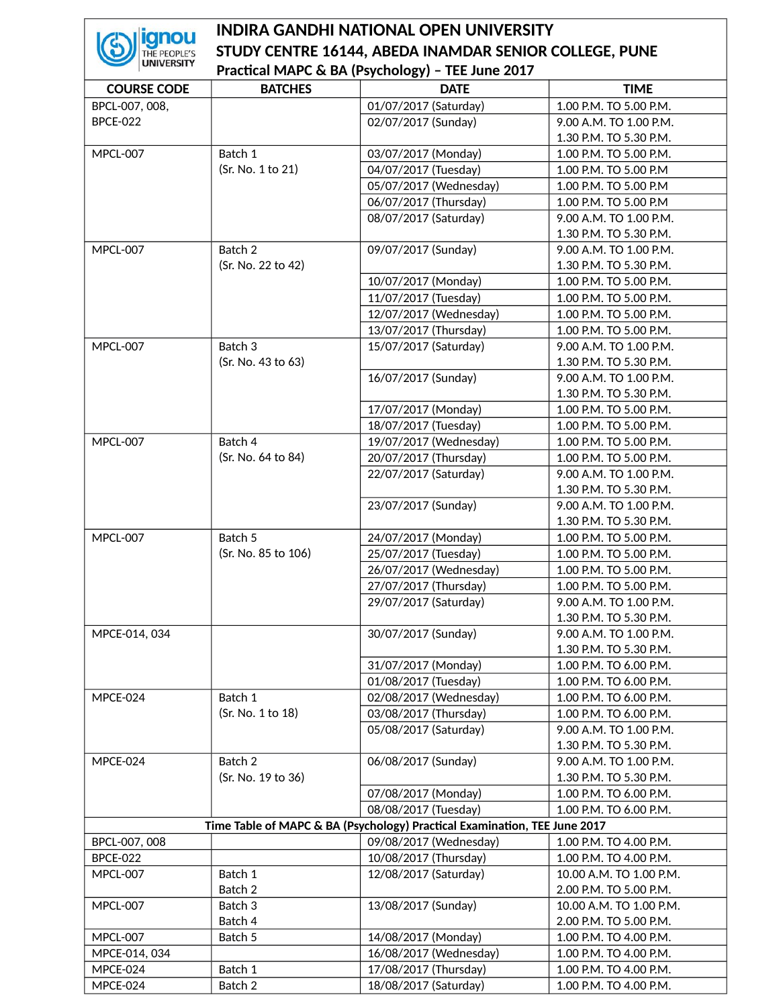## **INDIRA GANDHI NATIONAL OPEN UNIVERSITY** THE PEOPLE'S **STUDY CENTRE 16144, ABEDA INAMDAR SENIOR COLLEGE, PUNE**

| <b>SALES AND STRUCK STATE</b><br>Practical MAPC & BA (Psychology) - TEE June 2017 |                     |                                                                           |                         |  |  |  |
|-----------------------------------------------------------------------------------|---------------------|---------------------------------------------------------------------------|-------------------------|--|--|--|
| <b>COURSE CODE</b>                                                                | <b>BATCHES</b>      | <b>DATE</b>                                                               | <b>TIME</b>             |  |  |  |
| BPCL-007, 008,                                                                    |                     | 01/07/2017 (Saturday)                                                     | 1.00 P.M. TO 5.00 P.M.  |  |  |  |
| <b>BPCE-022</b>                                                                   |                     | 02/07/2017 (Sunday)                                                       | 9.00 A.M. TO 1.00 P.M.  |  |  |  |
|                                                                                   |                     |                                                                           | 1.30 P.M. TO 5.30 P.M.  |  |  |  |
| MPCL-007                                                                          | Batch 1             | 03/07/2017 (Monday)                                                       | 1.00 P.M. TO 5.00 P.M.  |  |  |  |
|                                                                                   | (Sr. No. 1 to 21)   | 04/07/2017 (Tuesday)                                                      | 1.00 P.M. TO 5.00 P.M   |  |  |  |
|                                                                                   |                     | 05/07/2017 (Wednesday)                                                    | 1.00 P.M. TO 5.00 P.M   |  |  |  |
|                                                                                   |                     | 06/07/2017 (Thursday)                                                     | 1.00 P.M. TO 5.00 P.M   |  |  |  |
|                                                                                   |                     | 08/07/2017 (Saturday)                                                     | 9.00 A.M. TO 1.00 P.M.  |  |  |  |
|                                                                                   |                     |                                                                           | 1.30 P.M. TO 5.30 P.M.  |  |  |  |
| MPCL-007                                                                          | Batch 2             | 09/07/2017 (Sunday)                                                       | 9.00 A.M. TO 1.00 P.M.  |  |  |  |
|                                                                                   | (Sr. No. 22 to 42)  |                                                                           | 1.30 P.M. TO 5.30 P.M.  |  |  |  |
|                                                                                   |                     | 10/07/2017 (Monday)                                                       | 1.00 P.M. TO 5.00 P.M.  |  |  |  |
|                                                                                   |                     | 11/07/2017 (Tuesday)                                                      | 1.00 P.M. TO 5.00 P.M.  |  |  |  |
|                                                                                   |                     | 12/07/2017 (Wednesday)                                                    | 1.00 P.M. TO 5.00 P.M.  |  |  |  |
|                                                                                   |                     | 13/07/2017 (Thursday)                                                     | 1.00 P.M. TO 5.00 P.M.  |  |  |  |
| MPCL-007                                                                          | Batch 3             | 15/07/2017 (Saturday)                                                     | 9.00 A.M. TO 1.00 P.M.  |  |  |  |
|                                                                                   | (Sr. No. 43 to 63)  |                                                                           | 1.30 P.M. TO 5.30 P.M.  |  |  |  |
|                                                                                   |                     | 16/07/2017 (Sunday)                                                       | 9.00 A.M. TO 1.00 P.M.  |  |  |  |
|                                                                                   |                     |                                                                           | 1.30 P.M. TO 5.30 P.M.  |  |  |  |
|                                                                                   |                     | 17/07/2017 (Monday)                                                       | 1.00 P.M. TO 5.00 P.M.  |  |  |  |
|                                                                                   |                     | 18/07/2017 (Tuesday)                                                      | 1.00 P.M. TO 5.00 P.M.  |  |  |  |
| MPCL-007                                                                          | Batch 4             | 19/07/2017 (Wednesday)                                                    | 1.00 P.M. TO 5.00 P.M.  |  |  |  |
|                                                                                   | (Sr. No. 64 to 84)  | 20/07/2017 (Thursday)                                                     | 1.00 P.M. TO 5.00 P.M.  |  |  |  |
|                                                                                   |                     | 22/07/2017 (Saturday)                                                     | 9.00 A.M. TO 1.00 P.M.  |  |  |  |
|                                                                                   |                     |                                                                           | 1.30 P.M. TO 5.30 P.M.  |  |  |  |
|                                                                                   |                     | 23/07/2017 (Sunday)                                                       | 9.00 A.M. TO 1.00 P.M.  |  |  |  |
|                                                                                   |                     |                                                                           | 1.30 P.M. TO 5.30 P.M.  |  |  |  |
| MPCL-007                                                                          | Batch 5             | 24/07/2017 (Monday)                                                       | 1.00 P.M. TO 5.00 P.M.  |  |  |  |
|                                                                                   | (Sr. No. 85 to 106) | 25/07/2017 (Tuesday)                                                      | 1.00 P.M. TO 5.00 P.M.  |  |  |  |
|                                                                                   |                     | 26/07/2017 (Wednesday)                                                    | 1.00 P.M. TO 5.00 P.M.  |  |  |  |
|                                                                                   |                     | 27/07/2017 (Thursday)                                                     | 1.00 P.M. TO 5.00 P.M.  |  |  |  |
|                                                                                   |                     | 29/07/2017 (Saturday)                                                     | 9.00 A.M. TO 1.00 P.M.  |  |  |  |
|                                                                                   |                     |                                                                           | 1.30 P.M. TO 5.30 P.M.  |  |  |  |
| MPCE-014, 034                                                                     |                     | 30/07/2017 (Sunday)                                                       | 9.00 A.M. TO 1.00 P.M.  |  |  |  |
|                                                                                   |                     |                                                                           | 1.30 P.M. TO 5.30 P.M.  |  |  |  |
|                                                                                   |                     | 31/07/2017 (Monday)                                                       | 1.00 P.M. TO 6.00 P.M.  |  |  |  |
|                                                                                   |                     | 01/08/2017 (Tuesday)                                                      | 1.00 P.M. TO 6.00 P.M.  |  |  |  |
| MPCE-024                                                                          | Batch 1             | 02/08/2017 (Wednesday)                                                    | 1.00 P.M. TO 6.00 P.M.  |  |  |  |
|                                                                                   | (Sr. No. 1 to 18)   | 03/08/2017 (Thursday)                                                     | 1.00 P.M. TO 6.00 P.M.  |  |  |  |
|                                                                                   |                     | 05/08/2017 (Saturday)                                                     | 9.00 A.M. TO 1.00 P.M.  |  |  |  |
|                                                                                   |                     |                                                                           | 1.30 P.M. TO 5.30 P.M.  |  |  |  |
| MPCE-024                                                                          | Batch 2             | 06/08/2017 (Sunday)                                                       | 9.00 A.M. TO 1.00 P.M.  |  |  |  |
|                                                                                   | (Sr. No. 19 to 36)  |                                                                           | 1.30 P.M. TO 5.30 P.M.  |  |  |  |
|                                                                                   |                     | 07/08/2017 (Monday)                                                       | 1.00 P.M. TO 6.00 P.M.  |  |  |  |
|                                                                                   |                     | 08/08/2017 (Tuesday)                                                      | 1.00 P.M. TO 6.00 P.M.  |  |  |  |
|                                                                                   |                     | Time Table of MAPC & BA (Psychology) Practical Examination, TEE June 2017 |                         |  |  |  |
| BPCL-007, 008                                                                     |                     | 09/08/2017 (Wednesday)                                                    | 1.00 P.M. TO 4.00 P.M.  |  |  |  |
| <b>BPCE-022</b>                                                                   |                     | 10/08/2017 (Thursday)                                                     | 1.00 P.M. TO 4.00 P.M.  |  |  |  |
| MPCL-007                                                                          | Batch 1             | 12/08/2017 (Saturday)                                                     | 10.00 A.M. TO 1.00 P.M. |  |  |  |
|                                                                                   | Batch 2             |                                                                           | 2.00 P.M. TO 5.00 P.M.  |  |  |  |
| MPCL-007                                                                          | Batch 3             | 13/08/2017 (Sunday)                                                       | 10.00 A.M. TO 1.00 P.M. |  |  |  |
|                                                                                   | Batch 4             |                                                                           | 2.00 P.M. TO 5.00 P.M.  |  |  |  |
| MPCL-007                                                                          | Batch 5             | 14/08/2017 (Monday)                                                       | 1.00 P.M. TO 4.00 P.M.  |  |  |  |
| MPCE-014, 034                                                                     |                     | 16/08/2017 (Wednesday)                                                    | 1.00 P.M. TO 4.00 P.M.  |  |  |  |
| MPCE-024                                                                          | Batch 1             | 17/08/2017 (Thursday)                                                     | 1.00 P.M. TO 4.00 P.M.  |  |  |  |
| MPCE-024                                                                          | Batch 2             | 18/08/2017 (Saturday)                                                     | 1.00 P.M. TO 4.00 P.M.  |  |  |  |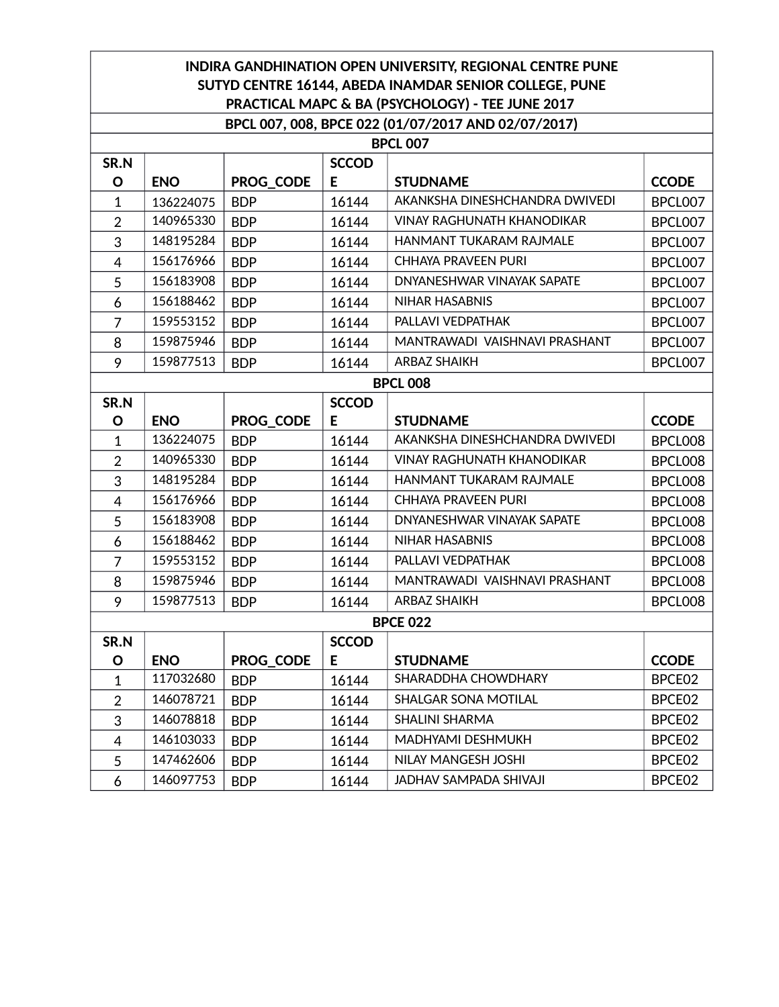## **INDIRA GANDHINATION OPEN UNIVERSITY, REGIONAL CENTRE PUNE SUTYD CENTRE 16144, ABEDA INAMDAR SENIOR COLLEGE, PUNE PRACTICAL MAPC & BA (PSYCHOLOGY) - TEE JUNE 2017**

## **BPCL 007, 008, BPCE 022 (01/07/2017 AND 02/07/2017) BPCL 007**

| SR.N           |            |                  | <b>SCCOD</b> |                                   |              |
|----------------|------------|------------------|--------------|-----------------------------------|--------------|
| O              | <b>ENO</b> | <b>PROG CODE</b> | E.           | <b>STUDNAME</b>                   | <b>CCODE</b> |
| $\mathbf{1}$   | 136224075  | <b>BDP</b>       | 16144        | AKANKSHA DINESHCHANDRA DWIVEDI    | BPCL007      |
| $\overline{2}$ | 140965330  | <b>BDP</b>       | 16144        | VINAY RAGHUNATH KHANODIKAR        | BPCL007      |
| 3              | 148195284  | <b>BDP</b>       | 16144        | HANMANT TUKARAM RAJMALE           | BPCL007      |
| 4              | 156176966  | <b>BDP</b>       | 16144        | CHHAYA PRAVEEN PURI               | BPCL007      |
| 5              | 156183908  | <b>BDP</b>       | 16144        | DNYANESHWAR VINAYAK SAPATE        | BPCL007      |
| 6              | 156188462  | <b>BDP</b>       | 16144        | NIHAR HASABNIS                    | BPCL007      |
| 7              | 159553152  | <b>BDP</b>       | 16144        | PALLAVI VEDPATHAK                 | BPCL007      |
| 8              | 159875946  | <b>BDP</b>       | 16144        | MANTRAWADI VAISHNAVI PRASHANT     | BPCL007      |
| 9              | 159877513  | <b>BDP</b>       | 16144        | <b>ARBAZ SHAIKH</b>               | BPCL007      |
|                |            |                  |              | <b>BPCL 008</b>                   |              |
| SR.N           |            |                  | <b>SCCOD</b> |                                   |              |
| O              | <b>ENO</b> | <b>PROG CODE</b> | E.           | <b>STUDNAME</b>                   | <b>CCODE</b> |
| $\mathbf{1}$   | 136224075  | <b>BDP</b>       | 16144        | AKANKSHA DINESHCHANDRA DWIVEDI    | BPCL008      |
| $\overline{2}$ | 140965330  | <b>BDP</b>       | 16144        | <b>VINAY RAGHUNATH KHANODIKAR</b> | BPCL008      |
| 3              | 148195284  | <b>BDP</b>       | 16144        | HANMANT TUKARAM RAJMALE           | BPCL008      |
| $\overline{4}$ | 156176966  | <b>BDP</b>       | 16144        | CHHAYA PRAVEEN PURI               | BPCL008      |
| 5              | 156183908  | <b>BDP</b>       | 16144        | DNYANESHWAR VINAYAK SAPATE        | BPCL008      |
| 6              | 156188462  | <b>BDP</b>       | 16144        | NIHAR HASABNIS                    | BPCL008      |
| $\overline{7}$ | 159553152  | <b>BDP</b>       | 16144        | PALLAVI VEDPATHAK                 | BPCL008      |
| 8              | 159875946  | <b>BDP</b>       | 16144        | MANTRAWADI VAISHNAVI PRASHANT     | BPCL008      |
| 9              | 159877513  | <b>BDP</b>       | 16144        | <b>ARBAZ SHAIKH</b>               | BPCL008      |
|                |            |                  |              | <b>BPCE 022</b>                   |              |
| SR.N           |            |                  | <b>SCCOD</b> |                                   |              |
| O              | <b>ENO</b> | PROG_CODE        | E.           | <b>STUDNAME</b>                   | <b>CCODE</b> |
| $\mathbf{1}$   | 117032680  | <b>BDP</b>       | 16144        | SHARADDHA CHOWDHARY               | BPCE02       |
| $\overline{2}$ | 146078721  | <b>BDP</b>       | 16144        | SHALGAR SONA MOTILAL              | BPCE02       |
| 3              | 146078818  | <b>BDP</b>       | 16144        | SHALINI SHARMA                    | BPCE02       |
| $\overline{4}$ | 146103033  | <b>BDP</b>       | 16144        | MADHYAMI DESHMUKH                 | BPCE02       |
| 5              | 147462606  | <b>BDP</b>       | 16144        | NILAY MANGESH JOSHI               | BPCE02       |
| 6              | 146097753  | <b>BDP</b>       | 16144        | JADHAV SAMPADA SHIVAJI            | BPCE02       |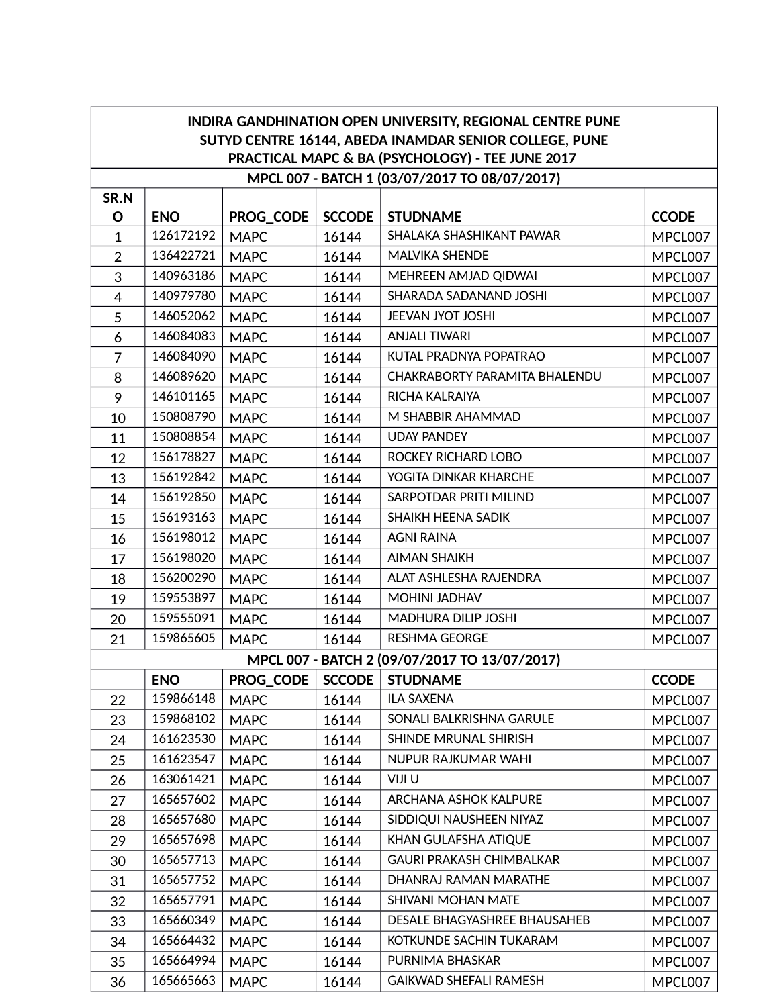| INDIRA GANDHINATION OPEN UNIVERSITY, REGIONAL CENTRE PUNE<br>SUTYD CENTRE 16144, ABEDA INAMDAR SENIOR COLLEGE, PUNE<br>PRACTICAL MAPC & BA (PSYCHOLOGY) - TEE JUNE 2017 |                                               |                               |               |                                               |              |  |  |
|-------------------------------------------------------------------------------------------------------------------------------------------------------------------------|-----------------------------------------------|-------------------------------|---------------|-----------------------------------------------|--------------|--|--|
|                                                                                                                                                                         | MPCL 007 - BATCH 1 (03/07/2017 TO 08/07/2017) |                               |               |                                               |              |  |  |
| SR.N                                                                                                                                                                    |                                               |                               |               |                                               |              |  |  |
| O                                                                                                                                                                       | <b>ENO</b>                                    | PROG_CODE                     | <b>SCCODE</b> | <b>STUDNAME</b>                               | <b>CCODE</b> |  |  |
| $\overline{1}$                                                                                                                                                          | 126172192                                     | <b>MAPC</b>                   | 16144         | SHALAKA SHASHIKANT PAWAR                      | MPCL007      |  |  |
| $\overline{2}$                                                                                                                                                          | 136422721                                     | <b>MAPC</b>                   | 16144         | <b>MALVIKA SHENDE</b>                         | MPCL007      |  |  |
| 3                                                                                                                                                                       | 140963186                                     | <b>MAPC</b>                   | 16144         | MEHREEN AMJAD QIDWAI                          | MPCL007      |  |  |
| $\overline{4}$                                                                                                                                                          | 140979780                                     | <b>MAPC</b>                   | 16144         | SHARADA SADANAND JOSHI                        | MPCL007      |  |  |
| 5                                                                                                                                                                       | 146052062                                     | <b>MAPC</b>                   | 16144         | <b>JEEVAN JYOT JOSHI</b>                      | MPCL007      |  |  |
| 6                                                                                                                                                                       | 146084083                                     | <b>MAPC</b>                   | 16144         | <b>ANJALI TIWARI</b>                          | MPCL007      |  |  |
| $\overline{7}$                                                                                                                                                          | 146084090                                     | <b>MAPC</b>                   | 16144         | KUTAL PRADNYA POPATRAO                        | MPCL007      |  |  |
| 8                                                                                                                                                                       | 146089620                                     | <b>MAPC</b>                   | 16144         | CHAKRABORTY PARAMITA BHALENDU                 | MPCL007      |  |  |
| 9                                                                                                                                                                       | 146101165                                     | <b>MAPC</b>                   | 16144         | RICHA KALRAIYA                                | MPCL007      |  |  |
| 10                                                                                                                                                                      | 150808790                                     | <b>MAPC</b>                   | 16144         | M SHABBIR AHAMMAD                             | MPCL007      |  |  |
| 11                                                                                                                                                                      | 150808854                                     | <b>MAPC</b>                   | 16144         | <b>UDAY PANDEY</b>                            | MPCL007      |  |  |
| 12                                                                                                                                                                      | 156178827                                     | <b>MAPC</b>                   | 16144         | ROCKEY RICHARD LOBO                           | MPCL007      |  |  |
| 13                                                                                                                                                                      | 156192842                                     | <b>MAPC</b>                   | 16144         | YOGITA DINKAR KHARCHE                         | MPCL007      |  |  |
| 14                                                                                                                                                                      | 156192850                                     | <b>MAPC</b>                   | 16144         | SARPOTDAR PRITI MILIND                        | MPCL007      |  |  |
| 15                                                                                                                                                                      | 156193163                                     | <b>MAPC</b>                   | 16144         | SHAIKH HEENA SADIK                            | MPCL007      |  |  |
| 16                                                                                                                                                                      | 156198012                                     | <b>MAPC</b>                   | 16144         | <b>AGNI RAINA</b>                             | MPCL007      |  |  |
| 17                                                                                                                                                                      | 156198020                                     | <b>MAPC</b>                   | 16144         | <b>AIMAN SHAIKH</b>                           | MPCL007      |  |  |
| 18                                                                                                                                                                      | 156200290                                     | <b>MAPC</b>                   | 16144         | ALAT ASHLESHA RAJENDRA                        | MPCL007      |  |  |
| 19                                                                                                                                                                      | 159553897                                     | <b>MAPC</b>                   | 16144         | MOHINI JADHAV                                 | MPCL007      |  |  |
| 20                                                                                                                                                                      | 159555091                                     | <b>MAPC</b>                   | 16144         | MADHURA DILIP JOSHI                           | MPCL007      |  |  |
| 21                                                                                                                                                                      | 159865605                                     | <b>MAPC</b>                   | 16144         | <b>RESHMA GEORGE</b>                          | MPCL007      |  |  |
|                                                                                                                                                                         |                                               |                               |               | MPCL 007 - BATCH 2 (09/07/2017 TO 13/07/2017) |              |  |  |
|                                                                                                                                                                         | <b>ENO</b>                                    | PROG_CODE   SCCODE   STUDNAME |               |                                               | <b>CCODE</b> |  |  |
| 22                                                                                                                                                                      | 159866148                                     | <b>MAPC</b>                   | 16144         | <b>ILA SAXENA</b>                             | MPCL007      |  |  |
| 23                                                                                                                                                                      | 159868102                                     | <b>MAPC</b>                   | 16144         | SONALI BALKRISHNA GARULE                      | MPCL007      |  |  |
| 24                                                                                                                                                                      | 161623530                                     | <b>MAPC</b>                   | 16144         | SHINDE MRUNAL SHIRISH                         | MPCL007      |  |  |
| 25                                                                                                                                                                      | 161623547                                     | <b>MAPC</b>                   | 16144         | NUPUR RAJKUMAR WAHI                           | MPCL007      |  |  |
| 26                                                                                                                                                                      | 163061421                                     | <b>MAPC</b>                   | 16144         | VIJI U                                        | MPCL007      |  |  |
| 27                                                                                                                                                                      | 165657602                                     | <b>MAPC</b>                   | 16144         | ARCHANA ASHOK KALPURE                         | MPCL007      |  |  |
| 28                                                                                                                                                                      | 165657680                                     | <b>MAPC</b>                   | 16144         | SIDDIQUI NAUSHEEN NIYAZ                       | MPCL007      |  |  |
| 29                                                                                                                                                                      | 165657698                                     | <b>MAPC</b>                   | 16144         | KHAN GULAFSHA ATIQUE                          | MPCL007      |  |  |
| 30                                                                                                                                                                      | 165657713                                     | <b>MAPC</b>                   | 16144         | <b>GAURI PRAKASH CHIMBALKAR</b>               | MPCL007      |  |  |
| 31                                                                                                                                                                      | 165657752                                     | <b>MAPC</b>                   | 16144         | DHANRAJ RAMAN MARATHE                         | MPCL007      |  |  |
| 32                                                                                                                                                                      | 165657791                                     | <b>MAPC</b>                   | 16144         | <b>SHIVANI MOHAN MATE</b>                     | MPCL007      |  |  |
| 33                                                                                                                                                                      | 165660349                                     | <b>MAPC</b>                   | 16144         | DESALE BHAGYASHREE BHAUSAHEB                  | MPCL007      |  |  |
| 34                                                                                                                                                                      | 165664432                                     | <b>MAPC</b>                   | 16144         | KOTKUNDE SACHIN TUKARAM                       | MPCL007      |  |  |
| 35                                                                                                                                                                      | 165664994                                     | <b>MAPC</b>                   | 16144         | PURNIMA BHASKAR                               | MPCL007      |  |  |
| 36                                                                                                                                                                      | 165665663                                     | <b>MAPC</b>                   | 16144         | <b>GAIKWAD SHEFALI RAMESH</b>                 | MPCL007      |  |  |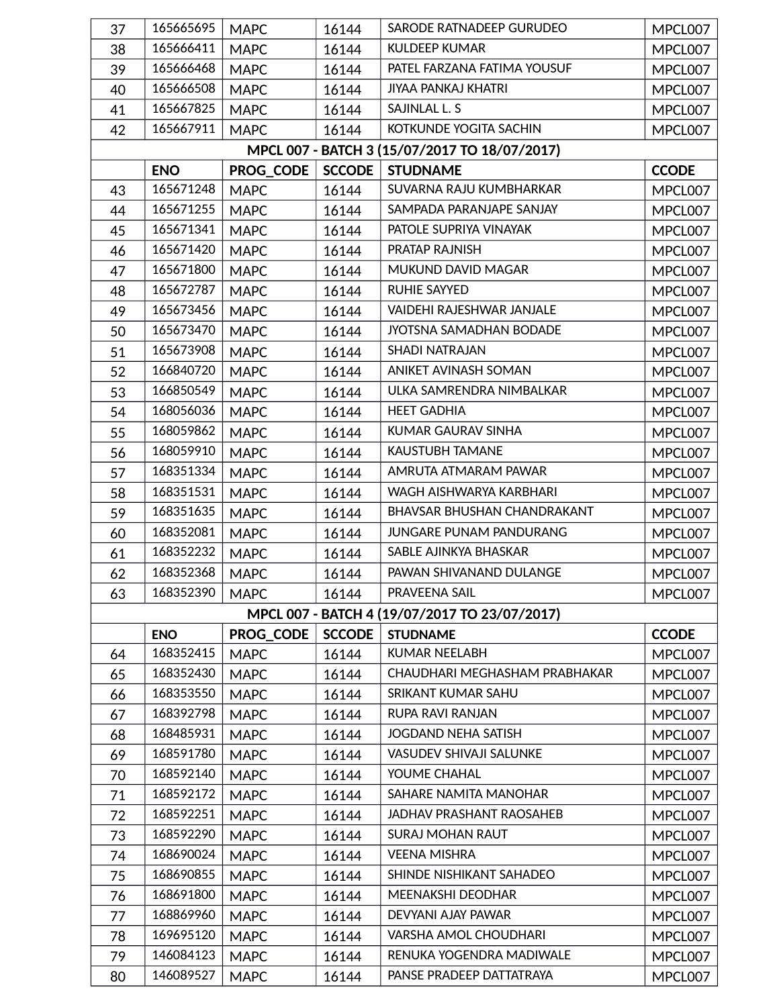| 37 | 165665695  | <b>MAPC</b>      | 16144         | SARODE RATNADEEP GURUDEO                      | MPCL007      |
|----|------------|------------------|---------------|-----------------------------------------------|--------------|
| 38 | 165666411  | <b>MAPC</b>      | 16144         | <b>KULDEEP KUMAR</b>                          | MPCL007      |
| 39 | 165666468  | <b>MAPC</b>      | 16144         | PATEL FARZANA FATIMA YOUSUF                   | MPCL007      |
| 40 | 165666508  | <b>MAPC</b>      | 16144         | JIYAA PANKAJ KHATRI                           | MPCL007      |
| 41 | 165667825  | <b>MAPC</b>      | 16144         | SAJINLAL L. S                                 | MPCL007      |
| 42 | 165667911  | <b>MAPC</b>      | 16144         | KOTKUNDE YOGITA SACHIN                        | MPCL007      |
|    |            |                  |               | MPCL 007 - BATCH 3 (15/07/2017 TO 18/07/2017) |              |
|    | <b>ENO</b> | <b>PROG_CODE</b> | <b>SCCODE</b> | <b>STUDNAME</b>                               | <b>CCODE</b> |
| 43 | 165671248  | <b>MAPC</b>      | 16144         | SUVARNA RAJU KUMBHARKAR                       | MPCL007      |
| 44 | 165671255  | <b>MAPC</b>      | 16144         | SAMPADA PARANJAPE SANJAY                      | MPCL007      |
| 45 | 165671341  | <b>MAPC</b>      | 16144         | PATOLE SUPRIYA VINAYAK                        | MPCL007      |
| 46 | 165671420  | <b>MAPC</b>      | 16144         | PRATAP RAJNISH                                | MPCL007      |
| 47 | 165671800  | <b>MAPC</b>      | 16144         | MUKUND DAVID MAGAR                            | MPCL007      |
| 48 | 165672787  | <b>MAPC</b>      | 16144         | <b>RUHIE SAYYED</b>                           | MPCL007      |
| 49 | 165673456  | <b>MAPC</b>      | 16144         | <b>VAIDEHI RAJESHWAR JANJALE</b>              | MPCL007      |
| 50 | 165673470  | <b>MAPC</b>      | 16144         | JYOTSNA SAMADHAN BODADE                       | MPCL007      |
| 51 | 165673908  | <b>MAPC</b>      | 16144         | <b>SHADI NATRAJAN</b>                         | MPCL007      |
| 52 | 166840720  | <b>MAPC</b>      | 16144         | ANIKET AVINASH SOMAN                          | MPCL007      |
| 53 | 166850549  | <b>MAPC</b>      | 16144         | ULKA SAMRENDRA NIMBALKAR                      | MPCL007      |
| 54 | 168056036  | <b>MAPC</b>      | 16144         | <b>HEET GADHIA</b>                            | MPCL007      |
| 55 | 168059862  | <b>MAPC</b>      | 16144         | <b>KUMAR GAURAV SINHA</b>                     | MPCL007      |
| 56 | 168059910  | <b>MAPC</b>      | 16144         | <b>KAUSTUBH TAMANE</b>                        | MPCL007      |
| 57 | 168351334  | <b>MAPC</b>      | 16144         | AMRUTA ATMARAM PAWAR                          | MPCL007      |
| 58 | 168351531  | <b>MAPC</b>      | 16144         | WAGH AISHWARYA KARBHARI                       | MPCL007      |
| 59 | 168351635  | <b>MAPC</b>      | 16144         | BHAVSAR BHUSHAN CHANDRAKANT                   | MPCL007      |
| 60 | 168352081  | <b>MAPC</b>      | 16144         | <b>JUNGARE PUNAM PANDURANG</b>                | MPCL007      |
| 61 | 168352232  | <b>MAPC</b>      | 16144         | SABLE AJINKYA BHASKAR                         | MPCL007      |
| 62 | 168352368  | <b>MAPC</b>      | 16144         | PAWAN SHIVANAND DULANGE                       | MPCL007      |
| 63 | 168352390  | <b>MAPC</b>      | 16144         | PRAVEENA SAIL                                 | MPCL007      |
|    |            |                  |               | MPCL 007 - BATCH 4 (19/07/2017 TO 23/07/2017) |              |
|    | <b>ENO</b> | PROG CODE        | <b>SCCODE</b> | <b>STUDNAME</b>                               | <b>CCODE</b> |
| 64 | 168352415  | <b>MAPC</b>      | 16144         | <b>KUMAR NEELABH</b>                          | MPCL007      |
| 65 | 168352430  | <b>MAPC</b>      | 16144         | CHAUDHARI MEGHASHAM PRABHAKAR                 | MPCL007      |
| 66 | 168353550  | <b>MAPC</b>      | 16144         | <b>SRIKANT KUMAR SAHU</b>                     | MPCL007      |
| 67 | 168392798  | <b>MAPC</b>      | 16144         | RUPA RAVI RANJAN                              | MPCL007      |
| 68 | 168485931  | <b>MAPC</b>      | 16144         | JOGDAND NEHA SATISH                           | MPCL007      |
| 69 | 168591780  | <b>MAPC</b>      | 16144         | <b>VASUDEV SHIVAJI SALUNKE</b>                | MPCL007      |
| 70 | 168592140  | <b>MAPC</b>      | 16144         | YOUME CHAHAL                                  | MPCL007      |
| 71 | 168592172  | <b>MAPC</b>      | 16144         | SAHARE NAMITA MANOHAR                         | MPCL007      |
| 72 | 168592251  | <b>MAPC</b>      | 16144         | JADHAV PRASHANT RAOSAHEB                      | MPCL007      |
| 73 | 168592290  | <b>MAPC</b>      | 16144         | <b>SURAJ MOHAN RAUT</b>                       | MPCL007      |
| 74 | 168690024  | <b>MAPC</b>      | 16144         | <b>VEENA MISHRA</b>                           | MPCL007      |
| 75 | 168690855  | <b>MAPC</b>      | 16144         | SHINDE NISHIKANT SAHADEO                      | MPCL007      |
| 76 | 168691800  | <b>MAPC</b>      | 16144         | MEENAKSHI DEODHAR                             | MPCL007      |
| 77 | 168869960  | <b>MAPC</b>      | 16144         | DEVYANI AJAY PAWAR                            | MPCL007      |
| 78 | 169695120  | <b>MAPC</b>      | 16144         | VARSHA AMOL CHOUDHARI                         | MPCL007      |
| 79 | 146084123  | <b>MAPC</b>      | 16144         | RENUKA YOGENDRA MADIWALE                      | MPCL007      |
| 80 | 146089527  | <b>MAPC</b>      | 16144         | PANSE PRADEEP DATTATRAYA                      | MPCL007      |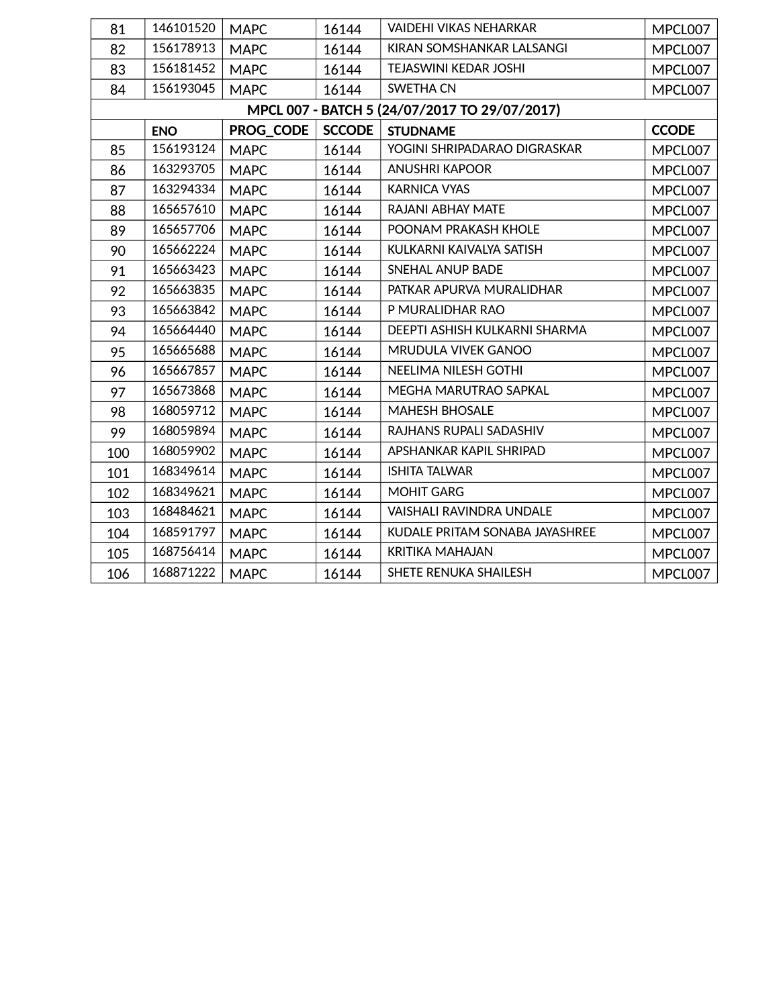| 81  | 146101520  | <b>MAPC</b> | 16144         | <b>VAIDEHI VIKAS NEHARKAR</b>                 | MPCL007      |
|-----|------------|-------------|---------------|-----------------------------------------------|--------------|
| 82  | 156178913  | <b>MAPC</b> | 16144         | KIRAN SOMSHANKAR LALSANGI                     | MPCL007      |
| 83  | 156181452  | <b>MAPC</b> | 16144         | TEJASWINI KEDAR JOSHI                         | MPCL007      |
| 84  | 156193045  | <b>MAPC</b> | 16144         | <b>SWETHA CN</b>                              | MPCL007      |
|     |            |             |               | MPCL 007 - BATCH 5 (24/07/2017 TO 29/07/2017) |              |
|     | <b>ENO</b> | PROG CODE   | <b>SCCODE</b> | <b>STUDNAME</b>                               | <b>CCODE</b> |
| 85  | 156193124  | <b>MAPC</b> | 16144         | YOGINI SHRIPADARAO DIGRASKAR                  | MPCL007      |
| 86  | 163293705  | <b>MAPC</b> | 16144         | <b>ANUSHRI KAPOOR</b>                         | MPCL007      |
| 87  | 163294334  | <b>MAPC</b> | 16144         | <b>KARNICA VYAS</b>                           | MPCL007      |
| 88  | 165657610  | <b>MAPC</b> | 16144         | RAJANI ABHAY MATE                             | MPCL007      |
| 89  | 165657706  | <b>MAPC</b> | 16144         | POONAM PRAKASH KHOLE                          | MPCL007      |
| 90  | 165662224  | <b>MAPC</b> | 16144         | KULKARNI KAIVALYA SATISH                      | MPCL007      |
| 91  | 165663423  | <b>MAPC</b> | 16144         | SNEHAL ANUP BADE                              | MPCL007      |
| 92  | 165663835  | <b>MAPC</b> | 16144         | PATKAR APURVA MURALIDHAR                      | MPCL007      |
| 93  | 165663842  | <b>MAPC</b> | 16144         | P MURALIDHAR RAO                              | MPCL007      |
| 94  | 165664440  | <b>MAPC</b> | 16144         | DEEPTI ASHISH KULKARNI SHARMA                 | MPCL007      |
| 95  | 165665688  | <b>MAPC</b> | 16144         | <b>MRUDULA VIVEK GANOO</b>                    | MPCL007      |
| 96  | 165667857  | <b>MAPC</b> | 16144         | NEELIMA NILESH GOTHI                          | MPCL007      |
| 97  | 165673868  | <b>MAPC</b> | 16144         | MEGHA MARUTRAO SAPKAL                         | MPCL007      |
| 98  | 168059712  | <b>MAPC</b> | 16144         | <b>MAHESH BHOSALE</b>                         | MPCL007      |
| 99  | 168059894  | <b>MAPC</b> | 16144         | RAJHANS RUPALI SADASHIV                       | MPCL007      |
| 100 | 168059902  | <b>MAPC</b> | 16144         | APSHANKAR KAPIL SHRIPAD                       | MPCL007      |
| 101 | 168349614  | <b>MAPC</b> | 16144         | <b>ISHITA TALWAR</b>                          | MPCL007      |
| 102 | 168349621  | <b>MAPC</b> | 16144         | <b>MOHIT GARG</b>                             | MPCL007      |
| 103 | 168484621  | <b>MAPC</b> | 16144         | <b>VAISHALI RAVINDRA UNDALE</b>               | MPCL007      |
| 104 | 168591797  | <b>MAPC</b> | 16144         | KUDALE PRITAM SONABA JAYASHREE                | MPCL007      |
| 105 | 168756414  | <b>MAPC</b> | 16144         | <b>KRITIKA MAHAJAN</b>                        | MPCL007      |
| 106 | 168871222  | <b>MAPC</b> | 16144         | SHETE RENUKA SHAILESH                         | MPCL007      |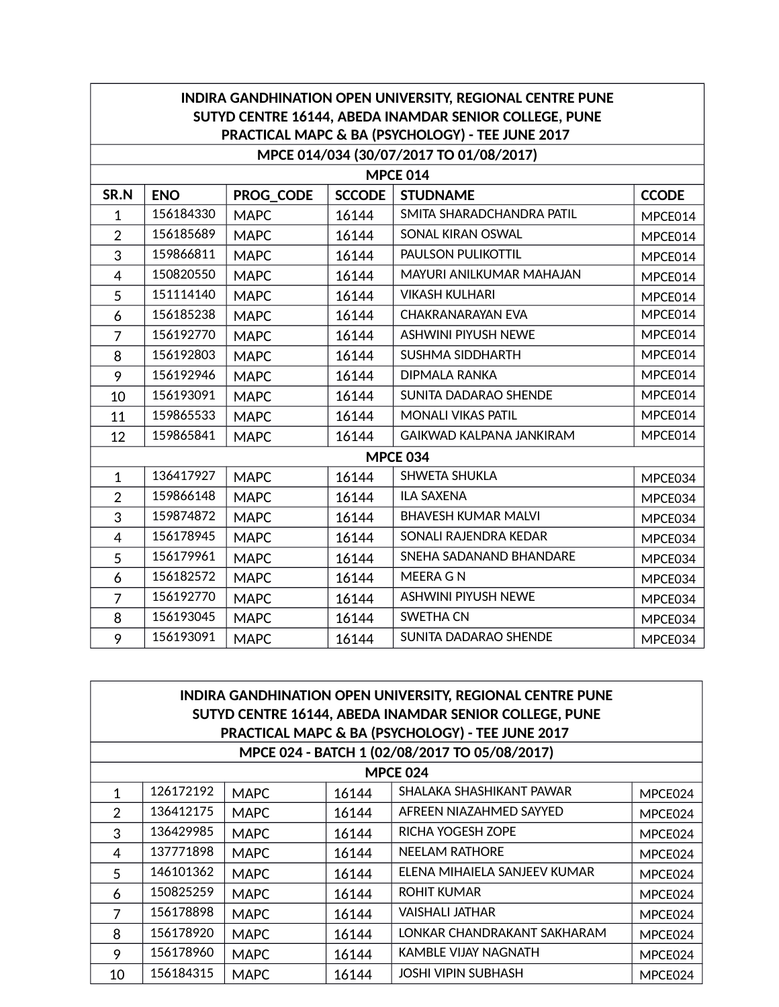|                          | INDIRA GANDHINATION OPEN UNIVERSITY, REGIONAL CENTRE PUNE                                                  |                  |               |                                         |              |  |  |
|--------------------------|------------------------------------------------------------------------------------------------------------|------------------|---------------|-----------------------------------------|--------------|--|--|
|                          | SUTYD CENTRE 16144, ABEDA INAMDAR SENIOR COLLEGE, PUNE<br>PRACTICAL MAPC & BA (PSYCHOLOGY) - TEE JUNE 2017 |                  |               |                                         |              |  |  |
|                          |                                                                                                            |                  |               | MPCE 014/034 (30/07/2017 TO 01/08/2017) |              |  |  |
|                          |                                                                                                            |                  |               | <b>MPCE 014</b>                         |              |  |  |
| SR.N                     | <b>ENO</b>                                                                                                 | <b>PROG CODE</b> | <b>SCCODE</b> | <b>STUDNAME</b>                         | <b>CCODE</b> |  |  |
| $\mathbf{1}$             | 156184330                                                                                                  | <b>MAPC</b>      | 16144         | SMITA SHARADCHANDRA PATIL               | MPCE014      |  |  |
| $\overline{2}$           | 156185689                                                                                                  | <b>MAPC</b>      | 16144         | SONAL KIRAN OSWAL                       | MPCE014      |  |  |
| 3                        | 159866811                                                                                                  | <b>MAPC</b>      | 16144         | <b>PAULSON PULIKOTTIL</b>               | MPCE014      |  |  |
| $\overline{\mathcal{L}}$ | 150820550                                                                                                  | <b>MAPC</b>      | 16144         | MAYURI ANILKUMAR MAHAJAN                | MPCE014      |  |  |
| 5                        | 151114140                                                                                                  | <b>MAPC</b>      | 16144         | <b>VIKASH KULHARI</b>                   | MPCE014      |  |  |
| 6                        | 156185238                                                                                                  | <b>MAPC</b>      | 16144         | CHAKRANARAYAN EVA                       | MPCE014      |  |  |
| $\overline{7}$           | 156192770                                                                                                  | <b>MAPC</b>      | 16144         | <b>ASHWINI PIYUSH NEWE</b>              | MPCE014      |  |  |
| 8                        | 156192803                                                                                                  | <b>MAPC</b>      | 16144         | SUSHMA SIDDHARTH                        | MPCE014      |  |  |
| 9                        | 156192946                                                                                                  | <b>MAPC</b>      | 16144         | <b>DIPMALA RANKA</b>                    | MPCE014      |  |  |
| 10                       | 156193091                                                                                                  | <b>MAPC</b>      | 16144         | SUNITA DADARAO SHENDE                   | MPCE014      |  |  |
| 11                       | 159865533                                                                                                  | <b>MAPC</b>      | 16144         | MONALI VIKAS PATIL                      | MPCE014      |  |  |
| 12                       | 159865841                                                                                                  | <b>MAPC</b>      | 16144         | GAIKWAD KALPANA JANKIRAM                | MPCE014      |  |  |
|                          |                                                                                                            |                  |               | <b>MPCE 034</b>                         |              |  |  |
| $\mathbf{1}$             | 136417927                                                                                                  | <b>MAPC</b>      | 16144         | <b>SHWETA SHUKLA</b>                    | MPCE034      |  |  |
| $\overline{2}$           | 159866148                                                                                                  | <b>MAPC</b>      | 16144         | <b>ILA SAXENA</b>                       | MPCE034      |  |  |
| 3                        | 159874872                                                                                                  | <b>MAPC</b>      | 16144         | <b>BHAVESH KUMAR MALVI</b>              | MPCE034      |  |  |
| 4                        | 156178945                                                                                                  | <b>MAPC</b>      | 16144         | SONALI RAJENDRA KEDAR                   | MPCE034      |  |  |
| 5                        | 156179961                                                                                                  | <b>MAPC</b>      | 16144         | SNEHA SADANAND BHANDARE                 | MPCE034      |  |  |
| 6                        | 156182572                                                                                                  | <b>MAPC</b>      | 16144         | MEERA G N                               | MPCE034      |  |  |
| $\overline{7}$           | 156192770                                                                                                  | <b>MAPC</b>      | 16144         | <b>ASHWINI PIYUSH NEWE</b>              | MPCE034      |  |  |
| 8                        | 156193045                                                                                                  | <b>MAPC</b>      | 16144         | <b>SWETHA CN</b>                        | MPCE034      |  |  |
| 9                        | 156193091                                                                                                  | <b>MAPC</b>      | 16144         | SUNITA DADARAO SHENDE                   | MPCE034      |  |  |

| INDIRA GANDHINATION OPEN UNIVERSITY, REGIONAL CENTRE PUNE<br>SUTYD CENTRE 16144, ABEDA INAMDAR SENIOR COLLEGE, PUNE<br>PRACTICAL MAPC & BA (PSYCHOLOGY) - TEE JUNE 2017 |           |             |       |                                               |         |  |
|-------------------------------------------------------------------------------------------------------------------------------------------------------------------------|-----------|-------------|-------|-----------------------------------------------|---------|--|
|                                                                                                                                                                         |           |             |       | MPCE 024 - BATCH 1 (02/08/2017 TO 05/08/2017) |         |  |
|                                                                                                                                                                         |           |             |       | <b>MPCE 024</b>                               |         |  |
| 1                                                                                                                                                                       | 126172192 | <b>MAPC</b> | 16144 | SHALAKA SHASHIKANT PAWAR                      | MPCE024 |  |
| $\mathcal{P}$                                                                                                                                                           | 136412175 | <b>MAPC</b> | 16144 | AFREEN NIAZAHMED SAYYED                       | MPCE024 |  |
| 3                                                                                                                                                                       | 136429985 | <b>MAPC</b> | 16144 | RICHA YOGESH ZOPE                             | MPCE024 |  |
| 4                                                                                                                                                                       | 137771898 | <b>MAPC</b> | 16144 | <b>NEELAM RATHORE</b>                         | MPCE024 |  |
| 5                                                                                                                                                                       | 146101362 | <b>MAPC</b> | 16144 | ELENA MIHAIELA SANJEEV KUMAR                  | MPCE024 |  |
| 6                                                                                                                                                                       | 150825259 | <b>MAPC</b> | 16144 | <b>ROHIT KUMAR</b>                            | MPCE024 |  |
| $\overline{7}$                                                                                                                                                          | 156178898 | <b>MAPC</b> | 16144 | VAISHALI JATHAR                               | MPCE024 |  |
| 8                                                                                                                                                                       | 156178920 | <b>MAPC</b> | 16144 | LONKAR CHANDRAKANT SAKHARAM                   | MPCE024 |  |
| 9                                                                                                                                                                       | 156178960 | <b>MAPC</b> | 16144 | KAMBLE VIJAY NAGNATH                          | MPCE024 |  |
| 10                                                                                                                                                                      | 156184315 | <b>MAPC</b> | 16144 | <b>JOSHI VIPIN SUBHASH</b>                    | MPCE024 |  |